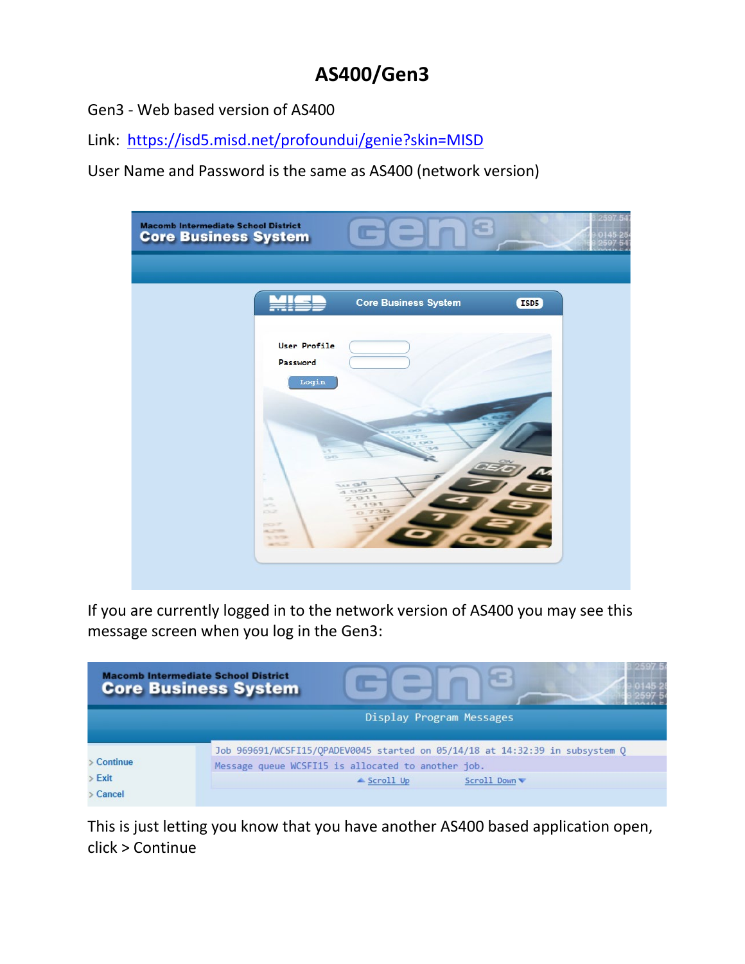# **AS400/Gen3**

Gen3 - Web based version of AS400

Link: <https://isd5.misd.net/profoundui/genie?skin=MISD>

User Name and Password is the same as AS400 (network version)

| <b>Macomb Intermediate School District</b><br><b>Core Business System</b>                                               | <b>STATE</b><br><b>In</b><br><b>Contract</b>                              | 259<br>c |
|-------------------------------------------------------------------------------------------------------------------------|---------------------------------------------------------------------------|----------|
|                                                                                                                         |                                                                           |          |
|                                                                                                                         | <b>Core Business System</b>                                               | ISD5     |
| Password<br>in.                                                                                                         | User Profile<br>Login<br><b>ACT CHO</b><br>2.52<br>$\sim 5$<br><b>O/O</b> |          |
| ×<br><b>STAR</b><br><b>SANTING</b><br><b>CNR</b><br><b>MOST</b><br><b>ALCOHOL:</b><br>THE WINDOW<br><b>CALL CONTROL</b> | THE STATE<br>0.20A<br>2.911<br>793<br>$\sim$<br>3.55                      |          |

If you are currently logged in to the network version of AS400 you may see this message screen when you log in the Gen3:

|                 | <b>Macomb Intermediate School District</b><br><b>Core Business System</b>    |
|-----------------|------------------------------------------------------------------------------|
|                 | Display Program Messages                                                     |
|                 | Job 969691/WCSFI15/QPADEV0045 started on 05/14/18 at 14:32:39 in subsystem Q |
| $\geq$ Continue | Message queue WCSFI15 is allocated to another job.                           |
| Exit            | ▲ Scroll Up<br>Scroll Down                                                   |
| Cancel          |                                                                              |

This is just letting you know that you have another AS400 based application open, click > Continue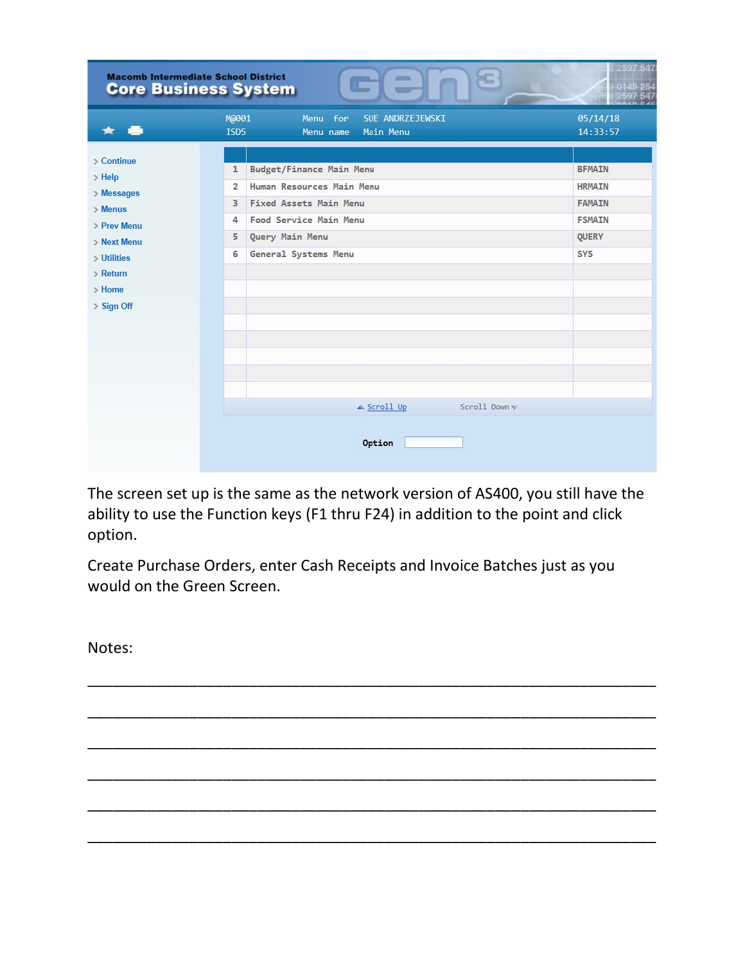| <b>Macomb Intermediate School District</b> | Ξ<br><b>All Corporation</b><br><b>Core Business System</b><br>L<br><b>Communist Communist</b> | 2597 547      |
|--------------------------------------------|-----------------------------------------------------------------------------------------------|---------------|
|                                            | M@001<br>Menu for<br>SUE ANDRZEJEWSKI                                                         | 05/14/18      |
|                                            | <b>ISD5</b><br><b>Main Menu</b><br>Menu name                                                  | 14:33:57      |
|                                            |                                                                                               |               |
| $\geq$ Continue<br>$>$ Help                | Budget/Finance Main Menu<br>$\mathbf{1}$                                                      | <b>BFMAIN</b> |
| > Messages                                 | Human Resources Main Menu<br>$\overline{2}$                                                   | <b>HRMAIN</b> |
| $>$ Menus                                  | <b>Fixed Assets Main Menu</b><br>3                                                            | <b>FAMAIN</b> |
| > Prev Menu                                | Food Service Main Menu<br>4                                                                   | <b>FSMAIN</b> |
| > Next Menu                                | Query Main Menu<br>5                                                                          | <b>QUERY</b>  |
| > Utilities                                | General Systems Menu<br>6                                                                     | <b>SYS</b>    |
| $>$ Return                                 |                                                                                               |               |
| $>$ Home                                   |                                                                                               |               |
| > Sign Off                                 |                                                                                               |               |
|                                            |                                                                                               |               |
|                                            |                                                                                               |               |
|                                            |                                                                                               |               |
|                                            |                                                                                               |               |
|                                            |                                                                                               |               |
|                                            | Scroll Down<br>$\triangle$ Scroll Up                                                          |               |
|                                            | Option                                                                                        |               |

The screen set up is the same as the network version of AS400, you still have the ability to use the Function keys (F1 thru F24) in addition to the point and click option.

\_\_\_\_\_\_\_\_\_\_\_\_\_\_\_\_\_\_\_\_\_\_\_\_\_\_\_\_\_\_\_\_\_\_\_\_\_\_\_\_\_\_\_\_\_\_\_\_\_\_\_\_\_\_\_\_\_\_\_\_\_\_\_\_\_\_\_

\_\_\_\_\_\_\_\_\_\_\_\_\_\_\_\_\_\_\_\_\_\_\_\_\_\_\_\_\_\_\_\_\_\_\_\_\_\_\_\_\_\_\_\_\_\_\_\_\_\_\_\_\_\_\_\_\_\_\_\_\_\_\_\_\_\_\_

\_\_\_\_\_\_\_\_\_\_\_\_\_\_\_\_\_\_\_\_\_\_\_\_\_\_\_\_\_\_\_\_\_\_\_\_\_\_\_\_\_\_\_\_\_\_\_\_\_\_\_\_\_\_\_\_\_\_\_\_\_\_\_\_\_\_\_

\_\_\_\_\_\_\_\_\_\_\_\_\_\_\_\_\_\_\_\_\_\_\_\_\_\_\_\_\_\_\_\_\_\_\_\_\_\_\_\_\_\_\_\_\_\_\_\_\_\_\_\_\_\_\_\_\_\_\_\_\_\_\_\_\_\_\_

\_\_\_\_\_\_\_\_\_\_\_\_\_\_\_\_\_\_\_\_\_\_\_\_\_\_\_\_\_\_\_\_\_\_\_\_\_\_\_\_\_\_\_\_\_\_\_\_\_\_\_\_\_\_\_\_\_\_\_\_\_\_\_\_\_\_\_

\_\_\_\_\_\_\_\_\_\_\_\_\_\_\_\_\_\_\_\_\_\_\_\_\_\_\_\_\_\_\_\_\_\_\_\_\_\_\_\_\_\_\_\_\_\_\_\_\_\_\_\_\_\_\_\_\_\_\_\_\_\_\_\_\_\_\_

Create Purchase Orders, enter Cash Receipts and Invoice Batches just as you would on the Green Screen.

Notes: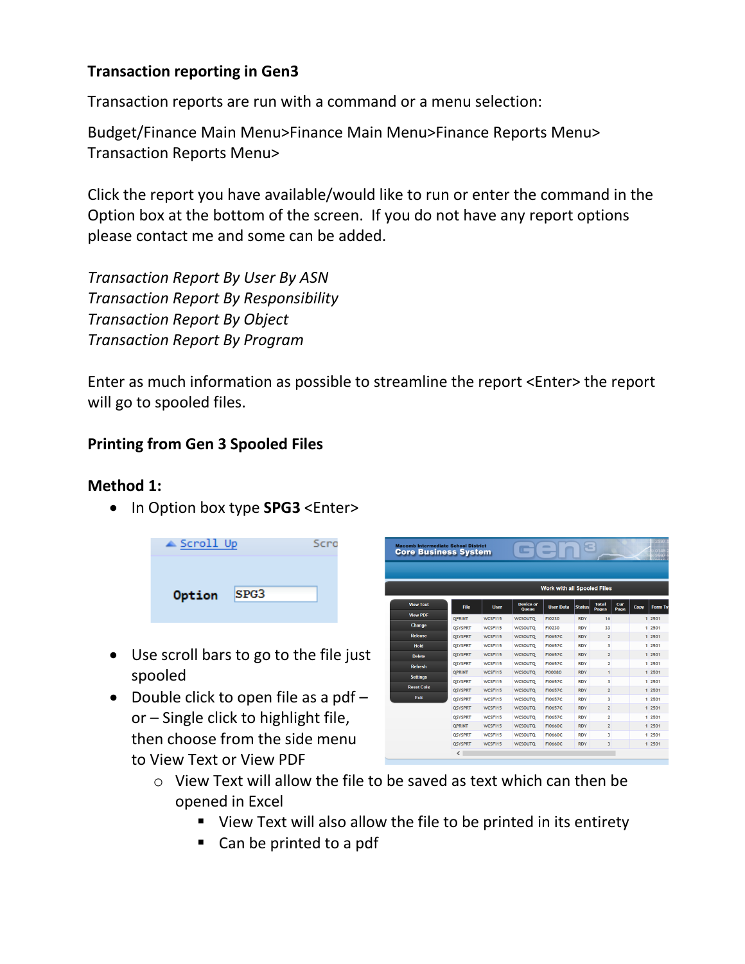# **Transaction reporting in Gen3**

Transaction reports are run with a command or a menu selection:

Budget/Finance Main Menu>Finance Main Menu>Finance Reports Menu> Transaction Reports Menu>

Click the report you have available/would like to run or enter the command in the Option box at the bottom of the screen. If you do not have any report options please contact me and some can be added.

*Transaction Report By User By ASN Transaction Report By Responsibility Transaction Report By Object Transaction Report By Program*

Enter as much information as possible to streamline the report <Enter> the report will go to spooled files.

## **Printing from Gen 3 Spooled Files**

#### **Method 1:**

• In Option box type **SPG3** <Enter>

| $\triangle$ Scroll Up |      | Scro |
|-----------------------|------|------|
| Option                | SPG3 |      |

- Use scroll bars to go to the file just spooled
- Double click to open file as a pdf or – Single click to highlight file, then choose from the side menu to View Text or View PDF

| <b>Macomb Intermediate School District</b><br><b>Core Business System</b> |                |             | L,                               | $\overline{\phantom{a}}$<br>−      | æ             |                              |             |      | 2597           |
|---------------------------------------------------------------------------|----------------|-------------|----------------------------------|------------------------------------|---------------|------------------------------|-------------|------|----------------|
|                                                                           |                |             |                                  |                                    |               |                              |             |      |                |
|                                                                           |                |             |                                  | <b>Work with all Spooled Files</b> |               |                              |             |      |                |
| <b>View Text</b>                                                          | File           | <b>User</b> | <b>Device or</b><br><b>Queue</b> | <b>User Data</b>                   | <b>Status</b> | <b>Total</b><br><b>Pages</b> | Cur<br>Page | Copy | <b>Form Tv</b> |
| <b>View PDF</b>                                                           | <b>OPRINT</b>  | WCSFI15     | <b>WCSOUTO</b>                   | FI0230                             | <b>RDY</b>    | 16                           |             |      | 1 2501         |
| Change                                                                    | <b>OSYSPRT</b> | WCSF115     | <b>WCSOUTO</b>                   | FI0230                             | <b>RDY</b>    | 33                           |             |      | 1 2501         |
| <b>Release</b>                                                            | <b>QSYSPRT</b> | WCSFI15     | <b>WCSOUTQ</b>                   | <b>FI0657C</b>                     | <b>RDY</b>    | $\overline{2}$               |             |      | 1 2501         |
| <b>Hold</b>                                                               | <b>OSYSPRT</b> | WCSF115     | <b>WCSOUTO</b>                   | <b>FI0657C</b>                     | <b>RDY</b>    | 3                            |             |      | 1 2501         |
| <b>Delete</b>                                                             | <b>OSYSPRT</b> | WCSFI15     | <b>WCSOUTO</b>                   | <b>FI0657C</b>                     | <b>RDY</b>    | $\overline{2}$               |             |      | 1 2501         |
| <b>Refresh</b>                                                            | <b>OSYSPRT</b> | WCSF115     | <b>WCSOUTO</b>                   | <b>FI0657C</b>                     | <b>RDY</b>    | $\overline{2}$               |             |      | 1 2501         |
|                                                                           | <b>OPRINT</b>  | WCSF115     | <b>WCSOUTQ</b>                   | <b>PO0080</b>                      | <b>RDY</b>    | 1                            |             |      | 1 2501         |
| <b>Settings</b>                                                           | <b>OSYSPRT</b> | WCSF115     | <b>WCSOUTO</b>                   | <b>FI0657C</b>                     | <b>RDY</b>    | 3                            |             |      | 1 2501         |
| <b>Reset Cols</b>                                                         | <b>QSYSPRT</b> | WCSFI15     | <b>WCSOUTO</b>                   | <b>FI0657C</b>                     | <b>RDY</b>    | $\overline{2}$               |             |      | 1 2501         |
| Exit                                                                      | <b>OSYSPRT</b> | WCSF115     | <b>WCSOUTO</b>                   | <b>FI0657C</b>                     | <b>RDY</b>    | $\overline{\mathbf{3}}$      |             |      | 1 2501         |
|                                                                           | <b>OSYSPRT</b> | WCSF115     | <b>WCSOUTO</b>                   | <b>FI0657C</b>                     | <b>RDY</b>    | $\overline{2}$               |             |      | 1 2501         |
|                                                                           | <b>OSYSPRT</b> | WCSF115     | <b>WCSOUTO</b>                   | <b>FI0657C</b>                     | <b>RDY</b>    | $\overline{2}$               |             |      | 1 2501         |
|                                                                           | <b>OPRINT</b>  | WCSFI15     | <b>WCSOUTQ</b>                   | <b>FI0660C</b>                     | <b>RDY</b>    | $\overline{2}$               |             |      | 1 2501         |
|                                                                           | <b>OSYSPRT</b> | WCSF115     | <b>WCSOUTO</b>                   | <b>FI0660C</b>                     | <b>RDY</b>    | $\overline{\mathbf{3}}$      |             |      | 1 2501         |
|                                                                           | <b>OSYSPRT</b> | WCSFI15     | <b>WCSOUTO</b>                   | <b>FI0660C</b>                     | <b>RDY</b>    | $\overline{\mathbf{3}}$      |             |      | 1 2501         |
|                                                                           | ∢              |             |                                  |                                    |               |                              |             |      |                |

- o View Text will allow the file to be saved as text which can then be opened in Excel
	- View Text will also allow the file to be printed in its entirety
	- Can be printed to a pdf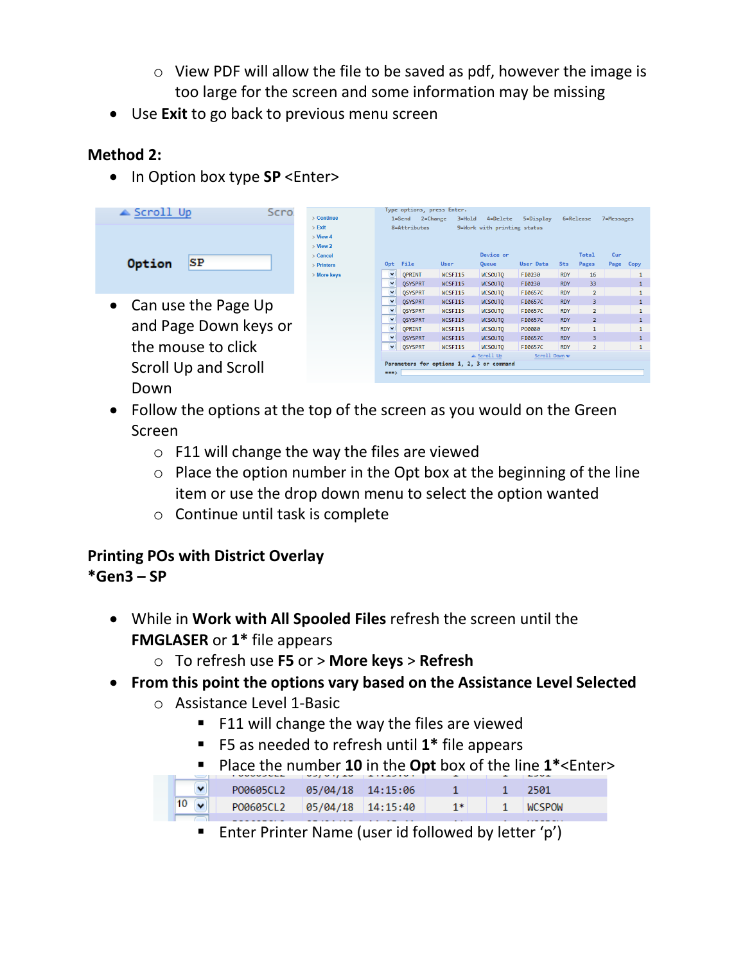- o View PDF will allow the file to be saved as pdf, however the image is too large for the screen and some information may be missing
- Use **Exit** to go back to previous menu screen

# **Method 2:**

• In Option box type **SP** <Enter>

| $\triangle$ Scroll Up       | Scro |                       |                         | Type options, press Enter. |                                           |                             |                  |            |                |            |              |
|-----------------------------|------|-----------------------|-------------------------|----------------------------|-------------------------------------------|-----------------------------|------------------|------------|----------------|------------|--------------|
|                             |      | $\geq$ Continue       |                         | $2 = Change$<br>$1 =$ Send | $3 = Hold$                                | 4=Delete                    | 5=Display        |            | 6=Release      | 7=Messages |              |
|                             |      | $>$ Exit              |                         | 8=Attributes               |                                           | 9=Work with printing status |                  |            |                |            |              |
|                             |      | $>$ View 4            |                         |                            |                                           |                             |                  |            |                |            |              |
|                             |      | $>$ View 2            |                         |                            |                                           |                             |                  |            |                |            |              |
|                             |      | $\geq$ Cancel         |                         |                            |                                           | Device or                   |                  |            | Total          | Cur        |              |
| SP<br>Option                |      | $\mathsf{P}$ Printers | Opt                     | File                       | <b>User</b>                               | Queue                       | <b>User Data</b> | <b>Sts</b> | Pages          | Page       | Copy         |
|                             |      | > More keys           | $\blacktriangledown$    | <b>OPRINT</b>              | WCSFI15                                   | <b>WCSOUTO</b>              | FI0230           | <b>RDY</b> | 16             |            |              |
|                             |      |                       | $\checkmark$            | <b>QSYSPRT</b>             | WCSFI15                                   | <b>WCSOUTO</b>              | FI0230           | <b>RDY</b> | 33             |            | $\mathbf{1}$ |
|                             |      |                       | $\checkmark$            | <b>QSYSPRT</b>             | WCSFI15                                   | <b>WCSOUTO</b>              | FI0657C          | <b>RDY</b> | $\overline{2}$ |            |              |
| Can use the Page Up         |      |                       | $\overline{\mathbf{v}}$ | <b>OSYSPRT</b>             | WCSFI15                                   | <b>WCSOUTO</b>              | FI0657C          | <b>RDY</b> | 3              |            |              |
|                             |      |                       |                         | <b>QSYSPRT</b>             | WCSFI15                                   | <b>WCSOUTO</b>              | FI0657C          | <b>RDY</b> | $\overline{2}$ |            |              |
|                             |      |                       |                         | <b>OSYSPRT</b>             | WCSFI15                                   | <b>WCSOUTO</b>              | FI0657C          | <b>RDY</b> | $\overline{2}$ |            | 1            |
| and Page Down keys or       |      |                       | $\overline{\mathbf{v}}$ | <b>OPRINT</b>              | WCSFI15                                   | <b>WCSOUTO</b>              | P00080           | <b>RDY</b> | $\mathbf{1}$   |            |              |
|                             |      |                       | $\ddot{\phantom{1}}$    | <b>OSYSPRT</b>             | WCSFI15                                   | <b>WCSOUTO</b>              | FI0657C          | <b>RDY</b> | 3              |            | $\mathbf{1}$ |
| the mouse to click          |      |                       | $\checkmark$            | <b>OSYSPRT</b>             | WCSFI15                                   | <b>WCSOUTO</b>              | FI0657C          | <b>RDY</b> | $\overline{2}$ |            |              |
|                             |      |                       |                         |                            | Parameters for options 1, 2, 3 or command | $\triangle$ Scroll Up       | Scroll Down      |            |                |            |              |
| <b>Scroll Up and Scroll</b> |      |                       | $==$                    |                            |                                           |                             |                  |            |                |            |              |
|                             |      |                       |                         |                            |                                           |                             |                  |            |                |            |              |

Down

- Follow the options at the top of the screen as you would on the Green Screen
	- $\circ$  F11 will change the way the files are viewed
	- $\circ$  Place the option number in the Opt box at the beginning of the line item or use the drop down menu to select the option wanted
	- o Continue until task is complete

## **Printing POs with District Overlay \*Gen3 – SP**

- While in **Work with All Spooled Files** refresh the screen until the **FMGLASER** or **1\*** file appears
	- o To refresh use **F5** or > **More keys** > **Refresh**
- **From this point the options vary based on the Assistance Level Selected**
	- o Assistance Level 1-Basic
		- F11 will change the way the files are viewed
		- F5 as needed to refresh until **1\*** file appears
		- Place the number **10** in the **Opt** box of the line **1\***<Enter>

| $\mathbf{v}$     | P00605CL2 05/04/18 14:15:06 |  |    | วรคา           |  |
|------------------|-----------------------------|--|----|----------------|--|
| 10 <sup>10</sup> | P00605CL2 05/04/18 14:15:40 |  | 1* | <b>INCSPOW</b> |  |

**Enter Printer Name (user id followed by letter 'p')**